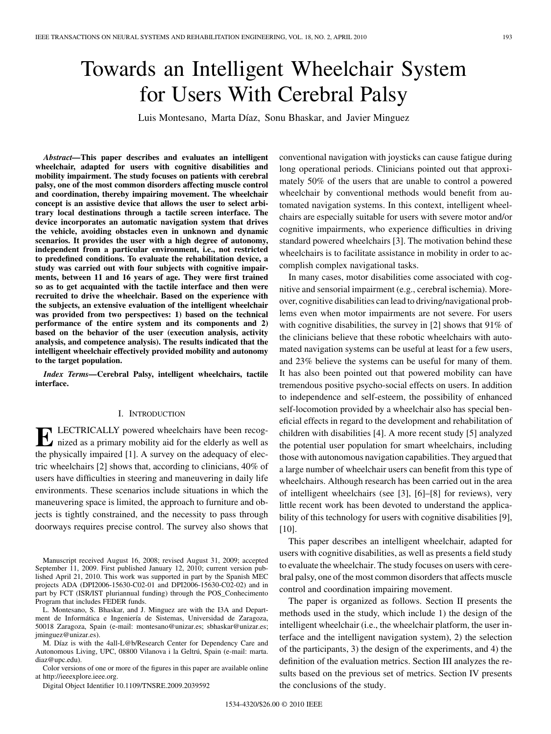# Towards an Intelligent Wheelchair System for Users With Cerebral Palsy

Luis Montesano, Marta Díaz, Sonu Bhaskar, and Javier Minguez

*Abstract—***This paper describes and evaluates an intelligent wheelchair, adapted for users with cognitive disabilities and mobility impairment. The study focuses on patients with cerebral palsy, one of the most common disorders affecting muscle control and coordination, thereby impairing movement. The wheelchair concept is an assistive device that allows the user to select arbitrary local destinations through a tactile screen interface. The device incorporates an automatic navigation system that drives the vehicle, avoiding obstacles even in unknown and dynamic scenarios. It provides the user with a high degree of autonomy, independent from a particular environment, i.e., not restricted to predefined conditions. To evaluate the rehabilitation device, a study was carried out with four subjects with cognitive impairments, between 11 and 16 years of age. They were first trained so as to get acquainted with the tactile interface and then were recruited to drive the wheelchair. Based on the experience with the subjects, an extensive evaluation of the intelligent wheelchair was provided from two perspectives: 1) based on the technical performance of the entire system and its components and 2) based on the behavior of the user (execution analysis, activity analysis, and competence analysis). The results indicated that the intelligent wheelchair effectively provided mobility and autonomy to the target population.**

*Index Terms—***Cerebral Palsy, intelligent wheelchairs, tactile interface.**

# I. INTRODUCTION

**ELECTRICALLY** powered wheelchairs have been recognized as a primary mobility aid for the elderly as well as the physically impaired [1]. A survey on the adequacy of electric wheelchairs [2] shows that, according to clinicians, 40% of users have difficulties in steering and maneuvering in daily life environments. These scenarios include situations in which the maneuvering space is limited, the approach to furniture and objects is tightly constrained, and the necessity to pass through doorways requires precise control. The survey also shows that

M. Díaz is with the 4all-L@b/Research Center for Dependency Care and Autonomous Living, UPC, 08800 Vilanova i la Geltrú, Spain (e-mail: marta. diaz@upc.edu).

Color versions of one or more of the figures in this paper are available online at http://ieeexplore.ieee.org.

Digital Object Identifier 10.1109/TNSRE.2009.2039592

conventional navigation with joysticks can cause fatigue during long operational periods. Clinicians pointed out that approximately 50% of the users that are unable to control a powered wheelchair by conventional methods would benefit from automated navigation systems. In this context, intelligent wheelchairs are especially suitable for users with severe motor and/or cognitive impairments, who experience difficulties in driving standard powered wheelchairs [3]. The motivation behind these wheelchairs is to facilitate assistance in mobility in order to accomplish complex navigational tasks.

In many cases, motor disabilities come associated with cognitive and sensorial impairment (e.g., cerebral ischemia). Moreover, cognitive disabilities can lead to driving/navigational problems even when motor impairments are not severe. For users with cognitive disabilities, the survey in [2] shows that 91% of the clinicians believe that these robotic wheelchairs with automated navigation systems can be useful at least for a few users, and 23% believe the systems can be useful for many of them. It has also been pointed out that powered mobility can have tremendous positive psycho-social effects on users. In addition to independence and self-esteem, the possibility of enhanced self-locomotion provided by a wheelchair also has special beneficial effects in regard to the development and rehabilitation of children with disabilities [4]. A more recent study [5] analyzed the potential user population for smart wheelchairs, including those with autonomous navigation capabilities. They argued that a large number of wheelchair users can benefit from this type of wheelchairs. Although research has been carried out in the area of intelligent wheelchairs (see [3], [6]–[8] for reviews), very little recent work has been devoted to understand the applicability of this technology for users with cognitive disabilities [9], [10].

This paper describes an intelligent wheelchair, adapted for users with cognitive disabilities, as well as presents a field study to evaluate the wheelchair. The study focuses on users with cerebral palsy, one of the most common disorders that affects muscle control and coordination impairing movement.

The paper is organized as follows. Section II presents the methods used in the study, which include 1) the design of the intelligent wheelchair (i.e., the wheelchair platform, the user interface and the intelligent navigation system), 2) the selection of the participants, 3) the design of the experiments, and 4) the definition of the evaluation metrics. Section III analyzes the results based on the previous set of metrics. Section IV presents the conclusions of the study.

Manuscript received August 16, 2008; revised August 31, 2009; accepted September 11, 2009. First published January 12, 2010; current version published April 21, 2010. This work was supported in part by the Spanish MEC projects ADA (DPI2006-15630-C02-01 and DPI2006-15630-C02-02) and in part by FCT (ISR/IST pluriannual funding) through the POS\_Conhecimento Program that includes FEDER funds.

L. Montesano, S. Bhaskar, and J. Minguez are with the I3A and Department de Informática e Ingeniería de Sistemas, Universidad de Zaragoza, 50018 Zaragoza, Spain (e-mail: montesano@unizar.es; sbhaskar@unizar.es; jminguez@unizar.es).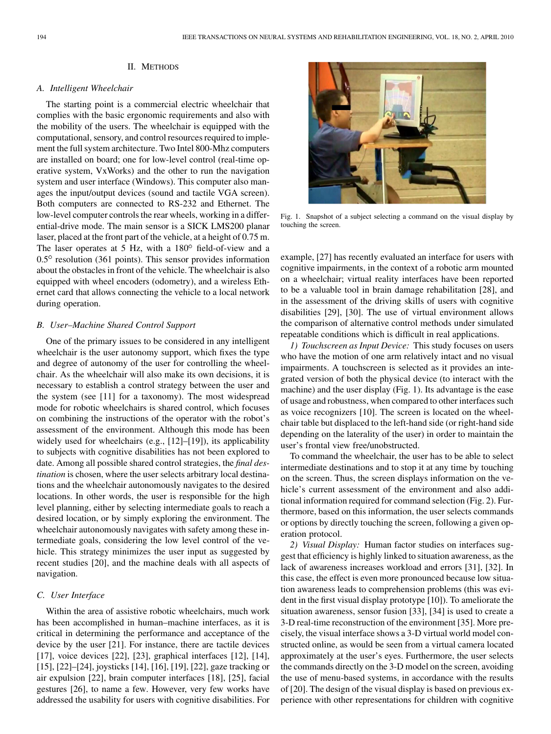## II. METHODS

## *A. Intelligent Wheelchair*

The starting point is a commercial electric wheelchair that complies with the basic ergonomic requirements and also with the mobility of the users. The wheelchair is equipped with the computational, sensory, and control resources required to implement the full system architecture. Two Intel 800-Mhz computers are installed on board; one for low-level control (real-time operative system, VxWorks) and the other to run the navigation system and user interface (Windows). This computer also manages the input/output devices (sound and tactile VGA screen). Both computers are connected to RS-232 and Ethernet. The low-level computer controls the rear wheels, working in a differential-drive mode. The main sensor is a SICK LMS200 planar laser, placed at the front part of the vehicle, at a height of 0.75 m. The laser operates at 5 Hz, with a  $180^\circ$  field-of-view and a  $0.5^{\circ}$  resolution (361 points). This sensor provides information about the obstacles in front of the vehicle. The wheelchair is also equipped with wheel encoders (odometry), and a wireless Ethernet card that allows connecting the vehicle to a local network during operation.

## *B. User–Machine Shared Control Support*

One of the primary issues to be considered in any intelligent wheelchair is the user autonomy support, which fixes the type and degree of autonomy of the user for controlling the wheelchair. As the wheelchair will also make its own decisions, it is necessary to establish a control strategy between the user and the system (see [11] for a taxonomy). The most widespread mode for robotic wheelchairs is shared control, which focuses on combining the instructions of the operator with the robot's assessment of the environment. Although this mode has been widely used for wheelchairs (e.g., [12]–[19]), its applicability to subjects with cognitive disabilities has not been explored to date. Among all possible shared control strategies, the *final destination* is chosen, where the user selects arbitrary local destinations and the wheelchair autonomously navigates to the desired locations. In other words, the user is responsible for the high level planning, either by selecting intermediate goals to reach a desired location, or by simply exploring the environment. The wheelchair autonomously navigates with safety among these intermediate goals, considering the low level control of the vehicle. This strategy minimizes the user input as suggested by recent studies [20], and the machine deals with all aspects of navigation.

# *C. User Interface*

Within the area of assistive robotic wheelchairs, much work has been accomplished in human–machine interfaces, as it is critical in determining the performance and acceptance of the device by the user [21]. For instance, there are tactile devices [17], voice devices [22], [23], graphical interfaces [12], [14], [15], [22]–[24], joysticks [14], [16], [19], [22], gaze tracking or air expulsion [22], brain computer interfaces [18], [25], facial gestures [26], to name a few. However, very few works have addressed the usability for users with cognitive disabilities. For



Fig. 1. Snapshot of a subject selecting a command on the visual display by touching the screen.

example, [27] has recently evaluated an interface for users with cognitive impairments, in the context of a robotic arm mounted on a wheelchair; virtual reality interfaces have been reported to be a valuable tool in brain damage rehabilitation [28], and in the assessment of the driving skills of users with cognitive disabilities [29], [30]. The use of virtual environment allows the comparison of alternative control methods under simulated repeatable conditions which is difficult in real applications.

*1) Touchscreen as Input Device:* This study focuses on users who have the motion of one arm relatively intact and no visual impairments. A touchscreen is selected as it provides an integrated version of both the physical device (to interact with the machine) and the user display (Fig. 1). Its advantage is the ease of usage and robustness, when compared to other interfaces such as voice recognizers [10]. The screen is located on the wheelchair table but displaced to the left-hand side (or right-hand side depending on the laterality of the user) in order to maintain the user's frontal view free/unobstructed.

To command the wheelchair, the user has to be able to select intermediate destinations and to stop it at any time by touching on the screen. Thus, the screen displays information on the vehicle's current assessment of the environment and also additional information required for command selection (Fig. 2). Furthermore, based on this information, the user selects commands or options by directly touching the screen, following a given operation protocol.

*2) Visual Display:* Human factor studies on interfaces suggest that efficiency is highly linked to situation awareness, as the lack of awareness increases workload and errors [31], [32]. In this case, the effect is even more pronounced because low situation awareness leads to comprehension problems (this was evident in the first visual display prototype [10]). To ameliorate the situation awareness, sensor fusion [33], [34] is used to create a 3-D real-time reconstruction of the environment [35]. More precisely, the visual interface shows a 3-D virtual world model constructed online, as would be seen from a virtual camera located approximately at the user's eyes. Furthermore, the user selects the commands directly on the 3-D model on the screen, avoiding the use of menu-based systems, in accordance with the results of [20]. The design of the visual display is based on previous experience with other representations for children with cognitive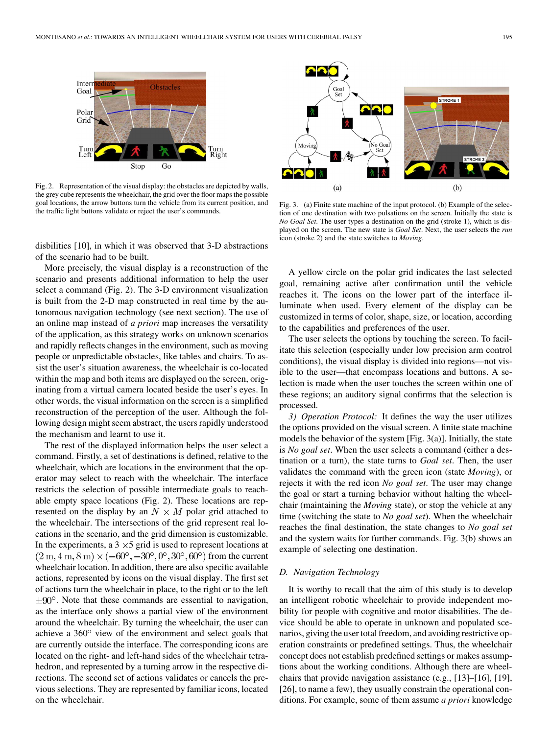

Fig. 2. Representation of the visual display: the obstacles are depicted by walls, the grey cube represents the wheelchair, the grid over the floor maps the possible goal locations, the arrow buttons turn the vehicle from its current position, and the traffic light buttons validate or reject the user's commands.

disbilities [10], in which it was observed that 3-D abstractions of the scenario had to be built.

More precisely, the visual display is a reconstruction of the scenario and presents additional information to help the user select a command (Fig. 2). The 3-D environment visualization is built from the 2-D map constructed in real time by the autonomous navigation technology (see next section). The use of an online map instead of *a priori* map increases the versatility of the application, as this strategy works on unknown scenarios and rapidly reflects changes in the environment, such as moving people or unpredictable obstacles, like tables and chairs. To assist the user's situation awareness, the wheelchair is co-located within the map and both items are displayed on the screen, originating from a virtual camera located beside the user's eyes. In other words, the visual information on the screen is a simplified reconstruction of the perception of the user. Although the following design might seem abstract, the users rapidly understood the mechanism and learnt to use it.

The rest of the displayed information helps the user select a command. Firstly, a set of destinations is defined, relative to the wheelchair, which are locations in the environment that the operator may select to reach with the wheelchair. The interface restricts the selection of possible intermediate goals to reachable empty space locations (Fig. 2). These locations are represented on the display by an  $N \times M$  polar grid attached to the wheelchair. The intersections of the grid represent real locations in the scenario, and the grid dimension is customizable. In the experiments, a  $3 \times 5$  grid is used to represent locations at  $(2 m, 4 m, 8 m) \times (-60^{\circ}, -30^{\circ}, 0^{\circ}, 30^{\circ}, 60^{\circ})$  from the current wheelchair location. In addition, there are also specific available actions, represented by icons on the visual display. The first set of actions turn the wheelchair in place, to the right or to the left  $\pm 90^\circ$ . Note that these commands are essential to navigation, as the interface only shows a partial view of the environment around the wheelchair. By turning the wheelchair, the user can achieve a 360° view of the environment and select goals that are currently outside the interface. The corresponding icons are located on the right- and left-hand sides of the wheelchair tetrahedron, and represented by a turning arrow in the respective directions. The second set of actions validates or cancels the previous selections. They are represented by familiar icons, located on the wheelchair.



Fig. 3. (a) Finite state machine of the input protocol. (b) Example of the selection of one destination with two pulsations on the screen. Initially the state is *No Goal Set*. The user types a destination on the grid (stroke 1), which is displayed on the screen. The new state is *Goal Set*. Next, the user selects the *run* icon (stroke 2) and the state switches to *Moving*.

A yellow circle on the polar grid indicates the last selected goal, remaining active after confirmation until the vehicle reaches it. The icons on the lower part of the interface illuminate when used. Every element of the display can be customized in terms of color, shape, size, or location, according to the capabilities and preferences of the user.

The user selects the options by touching the screen. To facilitate this selection (especially under low precision arm control conditions), the visual display is divided into regions—not visible to the user—that encompass locations and buttons. A selection is made when the user touches the screen within one of these regions; an auditory signal confirms that the selection is processed.

*3) Operation Protocol:* It defines the way the user utilizes the options provided on the visual screen. A finite state machine models the behavior of the system [Fig. 3(a)]. Initially, the state is *No goal set*. When the user selects a command (either a destination or a turn), the state turns to *Goal set*. Then, the user validates the command with the green icon (state *Moving*), or rejects it with the red icon *No goal set*. The user may change the goal or start a turning behavior without halting the wheelchair (maintaining the *Moving* state), or stop the vehicle at any time (switching the state to *No goal set*). When the wheelchair reaches the final destination, the state changes to *No goal set* and the system waits for further commands. Fig. 3(b) shows an example of selecting one destination.

#### *D. Navigation Technology*

It is worthy to recall that the aim of this study is to develop an intelligent robotic wheelchair to provide independent mobility for people with cognitive and motor disabilities. The device should be able to operate in unknown and populated scenarios, giving the user total freedom, and avoiding restrictive operation constraints or predefined settings. Thus, the wheelchair concept does not establish predefined settings or makes assumptions about the working conditions. Although there are wheelchairs that provide navigation assistance (e.g., [13]–[16], [19], [26], to name a few), they usually constrain the operational conditions. For example, some of them assume *a priori* knowledge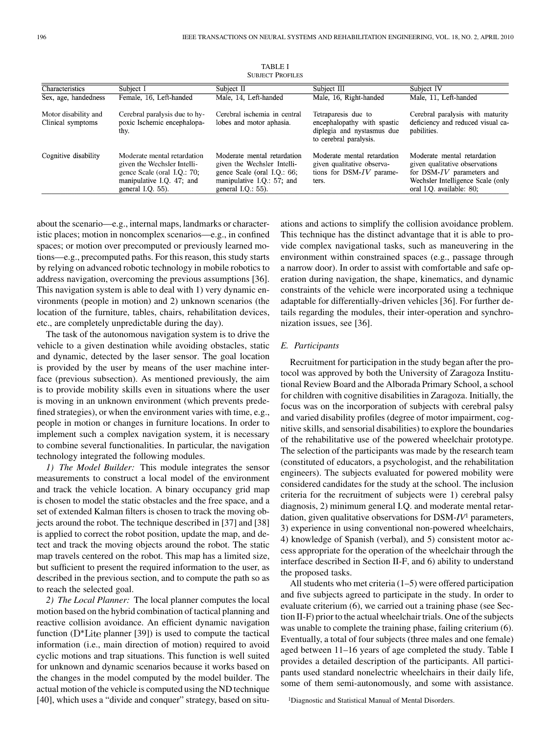| Characteristics                           | Subject I                                                                                                                                      | Subject II                                                                                                                                       | Subject III                                                                                                | Subject IV                                                                                                                                                  |
|-------------------------------------------|------------------------------------------------------------------------------------------------------------------------------------------------|--------------------------------------------------------------------------------------------------------------------------------------------------|------------------------------------------------------------------------------------------------------------|-------------------------------------------------------------------------------------------------------------------------------------------------------------|
| Sex, age, handedness                      | Female, 16, Left-handed                                                                                                                        | Male, 14, Left-handed                                                                                                                            | Male, 16, Right-handed                                                                                     | Male, 11, Left-handed                                                                                                                                       |
| Motor disability and<br>Clinical symptoms | Cerebral paralysis due to hy-<br>poxic Ischemic encephalopa-<br>thy.                                                                           | Cerebral ischemia in central<br>lobes and motor aphasia.                                                                                         | Tetraparesis due to<br>encephalopathy with spastic<br>diplegia and nystasmus due<br>to cerebral paralysis. | Cerebral paralysis with maturity<br>deficiency and reduced visual ca-<br>pabilities.                                                                        |
| Cognitive disability                      | Moderate mental retardation<br>given the Wechsler Intelli-<br>gence Scale (oral I.Q.: 70;<br>manipulative I.Q. 47; and<br>general I.Q. $55$ ). | Moderate mental retardation<br>given the Wechsler Intelli-<br>gence Scale (oral I.Q.: 66;<br>manipulative I.Q.: 57; and<br>general I.Q.: $55$ ). | Moderate mental retardation<br>given qualitative observa-<br>tions for DSM-IV parame-<br>ters.             | Moderate mental retardation<br>given qualitative observations<br>for DSM-IV parameters and<br>Wechsler Intelligence Scale (only<br>oral I.O. available: 80; |

TABLE I SUBJECT PROFILES

about the scenario—e.g., internal maps, landmarks or characteristic places; motion in noncomplex scenarios—e.g., in confined spaces; or motion over precomputed or previously learned motions—e.g., precomputed paths. For this reason, this study starts by relying on advanced robotic technology in mobile robotics to address navigation, overcoming the previous assumptions [36]. This navigation system is able to deal with 1) very dynamic environments (people in motion) and 2) unknown scenarios (the location of the furniture, tables, chairs, rehabilitation devices, etc., are completely unpredictable during the day).

The task of the autonomous navigation system is to drive the vehicle to a given destination while avoiding obstacles, static and dynamic, detected by the laser sensor. The goal location is provided by the user by means of the user machine interface (previous subsection). As mentioned previously, the aim is to provide mobility skills even in situations where the user is moving in an unknown environment (which prevents predefined strategies), or when the environment varies with time, e.g., people in motion or changes in furniture locations. In order to implement such a complex navigation system, it is necessary to combine several functionalities. In particular, the navigation technology integrated the following modules.

*1) The Model Builder:* This module integrates the sensor measurements to construct a local model of the environment and track the vehicle location. A binary occupancy grid map is chosen to model the static obstacles and the free space, and a set of extended Kalman filters is chosen to track the moving objects around the robot. The technique described in [37] and [38] is applied to correct the robot position, update the map, and detect and track the moving objects around the robot. The static map travels centered on the robot. This map has a limited size, but sufficient to present the required information to the user, as described in the previous section, and to compute the path so as to reach the selected goal.

*2) The Local Planner:* The local planner computes the local motion based on the hybrid combination of tactical planning and reactive collision avoidance. An efficient dynamic navigation function  $(D^*$ Lite planner [39]) is used to compute the tactical information (i.e., main direction of motion) required to avoid cyclic motions and trap situations. This function is well suited for unknown and dynamic scenarios because it works based on the changes in the model computed by the model builder. The actual motion of the vehicle is computed using the ND technique [40], which uses a "divide and conquer" strategy, based on situ-

ations and actions to simplify the collision avoidance problem. This technique has the distinct advantage that it is able to provide complex navigational tasks, such as maneuvering in the environment within constrained spaces (e.g., passage through a narrow door). In order to assist with comfortable and safe operation during navigation, the shape, kinematics, and dynamic constraints of the vehicle were incorporated using a technique adaptable for differentially-driven vehicles [36]. For further details regarding the modules, their inter-operation and synchronization issues, see [36].

# *E. Participants*

Recruitment for participation in the study began after the protocol was approved by both the University of Zaragoza Institutional Review Board and the Alborada Primary School, a school for children with cognitive disabilities in Zaragoza. Initially, the focus was on the incorporation of subjects with cerebral palsy and varied disability profiles (degree of motor impairment, cognitive skills, and sensorial disabilities) to explore the boundaries of the rehabilitative use of the powered wheelchair prototype. The selection of the participants was made by the research team (constituted of educators, a psychologist, and the rehabilitation engineers). The subjects evaluated for powered mobility were considered candidates for the study at the school. The inclusion criteria for the recruitment of subjects were 1) cerebral palsy diagnosis, 2) minimum general I.Q. and moderate mental retardation, given qualitative observations for DSM-*IV*<sup>1</sup> parameters, 3) experience in using conventional non-powered wheelchairs, 4) knowledge of Spanish (verbal), and 5) consistent motor access appropriate for the operation of the wheelchair through the interface described in Section II-F, and 6) ability to understand the proposed tasks.

All students who met criteria (1–5) were offered participation and five subjects agreed to participate in the study. In order to evaluate criterium (6), we carried out a training phase (see Section II-F) prior to the actual wheelchair trials. One of the subjects was unable to complete the training phase, failing criterium (6). Eventually, a total of four subjects (three males and one female) aged between 11–16 years of age completed the study. Table I provides a detailed description of the participants. All participants used standard nonelectric wheelchairs in their daily life, some of them semi-autonomously, and some with assistance.

1Diagnostic and Statistical Manual of Mental Disorders.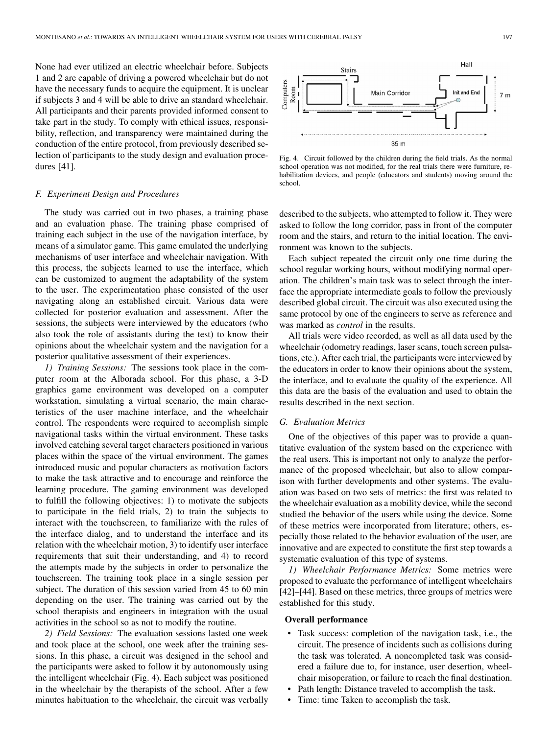None had ever utilized an electric wheelchair before. Subjects 1 and 2 are capable of driving a powered wheelchair but do not have the necessary funds to acquire the equipment. It is unclear if subjects 3 and 4 will be able to drive an standard wheelchair. All participants and their parents provided informed consent to take part in the study. To comply with ethical issues, responsibility, reflection, and transparency were maintained during the conduction of the entire protocol, from previously described selection of participants to the study design and evaluation procedures [41].

## *F. Experiment Design and Procedures*

The study was carried out in two phases, a training phase and an evaluation phase. The training phase comprised of training each subject in the use of the navigation interface, by means of a simulator game. This game emulated the underlying mechanisms of user interface and wheelchair navigation. With this process, the subjects learned to use the interface, which can be customized to augment the adaptability of the system to the user. The experimentation phase consisted of the user navigating along an established circuit. Various data were collected for posterior evaluation and assessment. After the sessions, the subjects were interviewed by the educators (who also took the role of assistants during the test) to know their opinions about the wheelchair system and the navigation for a posterior qualitative assessment of their experiences.

*1) Training Sessions:* The sessions took place in the computer room at the Alborada school. For this phase, a 3-D graphics game environment was developed on a computer workstation, simulating a virtual scenario, the main characteristics of the user machine interface, and the wheelchair control. The respondents were required to accomplish simple navigational tasks within the virtual environment. These tasks involved catching several target characters positioned in various places within the space of the virtual environment. The games introduced music and popular characters as motivation factors to make the task attractive and to encourage and reinforce the learning procedure. The gaming environment was developed to fulfill the following objectives: 1) to motivate the subjects to participate in the field trials, 2) to train the subjects to interact with the touchscreen, to familiarize with the rules of the interface dialog, and to understand the interface and its relation with the wheelchair motion, 3) to identify user interface requirements that suit their understanding, and 4) to record the attempts made by the subjects in order to personalize the touchscreen. The training took place in a single session per subject. The duration of this session varied from 45 to 60 min depending on the user. The training was carried out by the school therapists and engineers in integration with the usual activities in the school so as not to modify the routine.

*2) Field Sessions:* The evaluation sessions lasted one week and took place at the school, one week after the training sessions. In this phase, a circuit was designed in the school and the participants were asked to follow it by autonomously using the intelligent wheelchair (Fig. 4). Each subject was positioned in the wheelchair by the therapists of the school. After a few minutes habituation to the wheelchair, the circuit was verbally



Fig. 4. Circuit followed by the children during the field trials. As the normal school operation was not modified, for the real trials there were furniture, rehabilitation devices, and people (educators and students) moving around the school.

described to the subjects, who attempted to follow it. They were asked to follow the long corridor, pass in front of the computer room and the stairs, and return to the initial location. The environment was known to the subjects.

Each subject repeated the circuit only one time during the school regular working hours, without modifying normal operation. The children's main task was to select through the interface the appropriate intermediate goals to follow the previously described global circuit. The circuit was also executed using the same protocol by one of the engineers to serve as reference and was marked as *control* in the results.

All trials were video recorded, as well as all data used by the wheelchair (odometry readings, laser scans, touch screen pulsations, etc.). After each trial, the participants were interviewed by the educators in order to know their opinions about the system, the interface, and to evaluate the quality of the experience. All this data are the basis of the evaluation and used to obtain the results described in the next section.

#### *G. Evaluation Metrics*

One of the objectives of this paper was to provide a quantitative evaluation of the system based on the experience with the real users. This is important not only to analyze the performance of the proposed wheelchair, but also to allow comparison with further developments and other systems. The evaluation was based on two sets of metrics: the first was related to the wheelchair evaluation as a mobility device, while the second studied the behavior of the users while using the device. Some of these metrics were incorporated from literature; others, especially those related to the behavior evaluation of the user, are innovative and are expected to constitute the first step towards a systematic evaluation of this type of systems.

*1) Wheelchair Performance Metrics:* Some metrics were proposed to evaluate the performance of intelligent wheelchairs [42]–[44]. Based on these metrics, three groups of metrics were established for this study.

#### **Overall performance**

- Task success: completion of the navigation task, i.e., the circuit. The presence of incidents such as collisions during the task was tolerated. A noncompleted task was considered a failure due to, for instance, user desertion, wheelchair misoperation, or failure to reach the final destination.
- Path length: Distance traveled to accomplish the task.
- Time: time Taken to accomplish the task.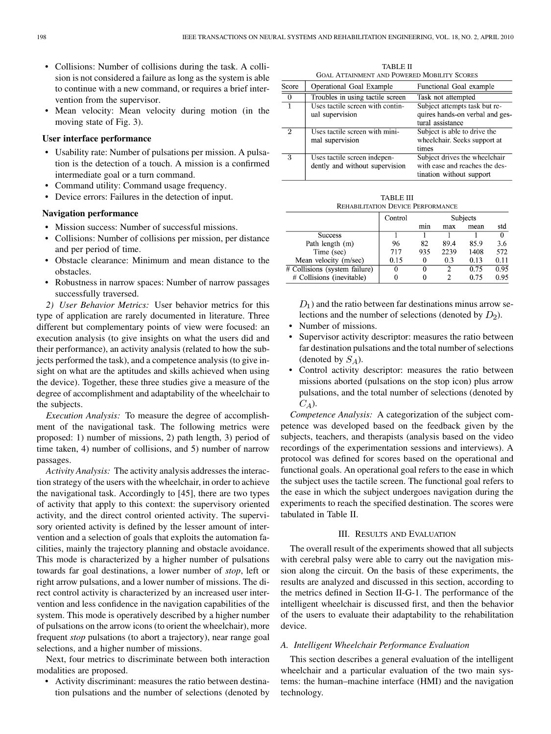- Collisions: Number of collisions during the task. A collision is not considered a failure as long as the system is able to continue with a new command, or requires a brief intervention from the supervisor.
- Mean velocity: Mean velocity during motion (in the moving state of Fig. 3).

## **User interface performance**

- Usability rate: Number of pulsations per mission. A pulsation is the detection of a touch. A mission is a confirmed intermediate goal or a turn command.
- Command utility: Command usage frequency.
- Device errors: Failures in the detection of input.

# **Navigation performance**

- Mission success: Number of successful missions.
- Collisions: Number of collisions per mission, per distance and per period of time.
- Obstacle clearance: Minimum and mean distance to the obstacles.
- Robustness in narrow spaces: Number of narrow passages successfully traversed.

*2) User Behavior Metrics:* User behavior metrics for this type of application are rarely documented in literature. Three different but complementary points of view were focused: an execution analysis (to give insights on what the users did and their performance), an activity analysis (related to how the subjects performed the task), and a competence analysis (to give insight on what are the aptitudes and skills achieved when using the device). Together, these three studies give a measure of the degree of accomplishment and adaptability of the wheelchair to the subjects.

*Execution Analysis:* To measure the degree of accomplishment of the navigational task. The following metrics were proposed: 1) number of missions, 2) path length, 3) period of time taken, 4) number of collisions, and 5) number of narrow passages.

*Activity Analysis:* The activity analysis addresses the interaction strategy of the users with the wheelchair, in order to achieve the navigational task. Accordingly to [45], there are two types of activity that apply to this context: the supervisory oriented activity, and the direct control oriented activity. The supervisory oriented activity is defined by the lesser amount of intervention and a selection of goals that exploits the automation facilities, mainly the trajectory planning and obstacle avoidance. This mode is characterized by a higher number of pulsations towards far goal destinations, a lower number of *stop*, left or right arrow pulsations, and a lower number of missions. The direct control activity is characterized by an increased user intervention and less confidence in the navigation capabilities of the system. This mode is operatively described by a higher number of pulsations on the arrow icons (to orient the wheelchair), more frequent *stop* pulsations (to abort a trajectory), near range goal selections, and a higher number of missions.

Next, four metrics to discriminate between both interaction modalities are proposed.

Activity discriminant: measures the ratio between destination pulsations and the number of selections (denoted by

TABLE II GOAL ATTAINMENT AND POWERED MOBILITY SCORES

| Score          | Operational Goal Example                                       | Functional Goal example                                                                     |
|----------------|----------------------------------------------------------------|---------------------------------------------------------------------------------------------|
| $\overline{0}$ | Troubles in using tactile screen                               | Task not attempted                                                                          |
| 1              | Uses tactile screen with contin-<br>ual supervision            | Subject attempts task but re-<br>quires hands-on verbal and ges-<br>tural assistance        |
| 2              | Uses tactile screen with mini-<br>mal supervision              | Subject is able to drive the<br>wheelchair. Seeks support at<br>times                       |
| 3              | Uses tactile screen indepen-<br>dently and without supervision | Subject drives the wheelchair<br>with ease and reaches the des-<br>tination without support |

TABLE III REHABILITATION DEVICE PERFORMANCE

|                               | Control | Subjects |      |      |          |
|-------------------------------|---------|----------|------|------|----------|
|                               |         | mın      | max  | mean | std      |
| <b>Success</b>                |         |          |      |      | $\Omega$ |
| Path length (m)               | 96      | 82       | 89.4 | 85.9 | 3.6      |
| Time (sec)                    | 717     | 935      | 2239 | 1408 | 572      |
| Mean velocity (m/sec)         | 0.15    | 0        | 0.3  | 0.13 | 0.11     |
| # Collisions (system failure) |         | 0        | 2    | 0.75 | 0.95     |
| # Collisions (inevitable)     |         | 0        |      | 0.75 | 0.95     |

 $D_1$ ) and the ratio between far destinations minus arrow selections and the number of selections (denoted by  $D_2$ ).

- Number of missions.
- Supervisor activity descriptor: measures the ratio between far destination pulsations and the total number of selections (denoted by  $S_A$ ).
- Control activity descriptor: measures the ratio between missions aborted (pulsations on the stop icon) plus arrow pulsations, and the total number of selections (denoted by  $C_A$ ).

*Competence Analysis:* A categorization of the subject competence was developed based on the feedback given by the subjects, teachers, and therapists (analysis based on the video recordings of the experimentation sessions and interviews). A protocol was defined for scores based on the operational and functional goals. An operational goal refers to the ease in which the subject uses the tactile screen. The functional goal refers to the ease in which the subject undergoes navigation during the experiments to reach the specified destination. The scores were tabulated in Table II.

## III. RESULTS AND EVALUATION

The overall result of the experiments showed that all subjects with cerebral palsy were able to carry out the navigation mission along the circuit. On the basis of these experiments, the results are analyzed and discussed in this section, according to the metrics defined in Section II-G-1. The performance of the intelligent wheelchair is discussed first, and then the behavior of the users to evaluate their adaptability to the rehabilitation device.

## *A. Intelligent Wheelchair Performance Evaluation*

This section describes a general evaluation of the intelligent wheelchair and a particular evaluation of the two main systems: the human–machine interface (HMI) and the navigation technology.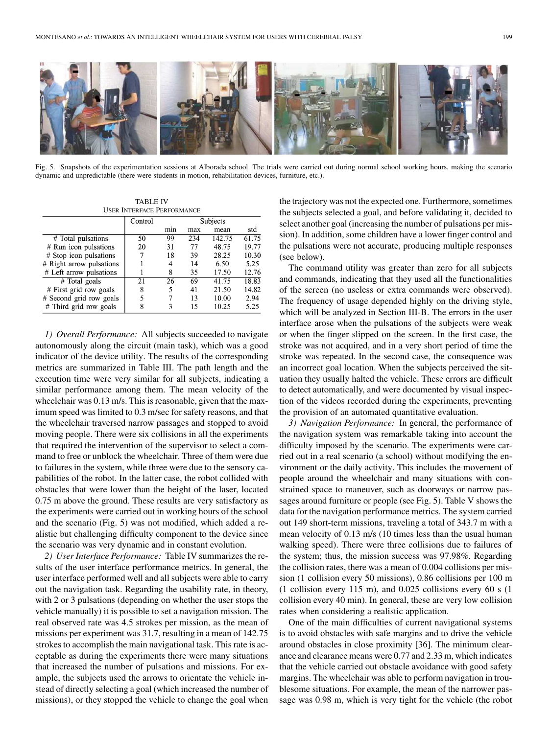

Fig. 5. Snapshots of the experimentation sessions at Alborada school. The trials were carried out during normal school working hours, making the scenario dynamic and unpredictable (there were students in motion, rehabilitation devices, furniture, etc.).

TABLE IV USER INTERFACE PERFORMANCE

|                          | Control | Subjects |     |        |                    |
|--------------------------|---------|----------|-----|--------|--------------------|
|                          |         | min      | max | mean   | std                |
| # Total pulsations       | 50      | 99       | 234 | 142.75 | $61.\overline{75}$ |
| $#$ Run icon pulsations  | 20      | 31       | 77  | 48.75  | 19.77              |
| # Stop icon pulsations   |         | 18       | 39  | 28.25  | 10.30              |
| # Right arrow pulsations |         | 4        | 14  | 6.50   | 5.25               |
| # Left arrow pulsations  |         | 8        | 35  | 17.50  | 12.76              |
| $#$ Total goals          | 21      | 26       | 69  | 41.75  | 18.83              |
| $#$ First grid row goals | 8       | 5        | 41  | 21.50  | 14.82              |
| # Second grid row goals  | 5       |          | 13  | 10.00  | 2.94               |
| $#$ Third grid row goals | 8       | ٦        | 15  | 10.25  | 5.25               |

*1) Overall Performance:* All subjects succeeded to navigate autonomously along the circuit (main task), which was a good indicator of the device utility. The results of the corresponding metrics are summarized in Table III. The path length and the execution time were very similar for all subjects, indicating a similar performance among them. The mean velocity of the wheelchair was 0.13 m/s. This is reasonable, given that the maximum speed was limited to 0.3 m/sec for safety reasons, and that the wheelchair traversed narrow passages and stopped to avoid moving people. There were six collisions in all the experiments that required the intervention of the supervisor to select a command to free or unblock the wheelchair. Three of them were due to failures in the system, while three were due to the sensory capabilities of the robot. In the latter case, the robot collided with obstacles that were lower than the height of the laser, located 0.75 m above the ground. These results are very satisfactory as the experiments were carried out in working hours of the school and the scenario (Fig. 5) was not modified, which added a realistic but challenging difficulty component to the device since the scenario was very dynamic and in constant evolution.

*2) User Interface Performance:* Table IV summarizes the results of the user interface performance metrics. In general, the user interface performed well and all subjects were able to carry out the navigation task. Regarding the usability rate, in theory, with 2 or 3 pulsations (depending on whether the user stops the vehicle manually) it is possible to set a navigation mission. The real observed rate was 4.5 strokes per mission, as the mean of missions per experiment was 31.7, resulting in a mean of 142.75 strokes to accomplish the main navigational task. This rate is acceptable as during the experiments there were many situations that increased the number of pulsations and missions. For example, the subjects used the arrows to orientate the vehicle instead of directly selecting a goal (which increased the number of missions), or they stopped the vehicle to change the goal when

the trajectory was not the expected one. Furthermore, sometimes the subjects selected a goal, and before validating it, decided to select another goal (increasing the number of pulsations per mission). In addition, some children have a lower finger control and the pulsations were not accurate, producing multiple responses (see below).

The command utility was greater than zero for all subjects and commands, indicating that they used all the functionalities of the screen (no useless or extra commands were observed). The frequency of usage depended highly on the driving style, which will be analyzed in Section III-B. The errors in the user interface arose when the pulsations of the subjects were weak or when the finger slipped on the screen. In the first case, the stroke was not acquired, and in a very short period of time the stroke was repeated. In the second case, the consequence was an incorrect goal location. When the subjects perceived the situation they usually halted the vehicle. These errors are difficult to detect automatically, and were documented by visual inspection of the videos recorded during the experiments, preventing the provision of an automated quantitative evaluation.

*3) Navigation Performance:* In general, the performance of the navigation system was remarkable taking into account the difficulty imposed by the scenario. The experiments were carried out in a real scenario (a school) without modifying the environment or the daily activity. This includes the movement of people around the wheelchair and many situations with constrained space to maneuver, such as doorways or narrow passages around furniture or people (see Fig. 5). Table V shows the data for the navigation performance metrics. The system carried out 149 short-term missions, traveling a total of 343.7 m with a mean velocity of 0.13 m/s (10 times less than the usual human walking speed). There were three collisions due to failures of the system; thus, the mission success was 97.98%. Regarding the collision rates, there was a mean of 0.004 collisions per mission (1 collision every 50 missions), 0.86 collisions per 100 m (1 collision every 115 m), and 0.025 collisions every 60 s (1 collision every 40 min). In general, these are very low collision rates when considering a realistic application.

One of the main difficulties of current navigational systems is to avoid obstacles with safe margins and to drive the vehicle around obstacles in close proximity [36]. The minimum clearance and clearance means were 0.77 and 2.33 m, which indicates that the vehicle carried out obstacle avoidance with good safety margins. The wheelchair was able to perform navigation in troublesome situations. For example, the mean of the narrower passage was 0.98 m, which is very tight for the vehicle (the robot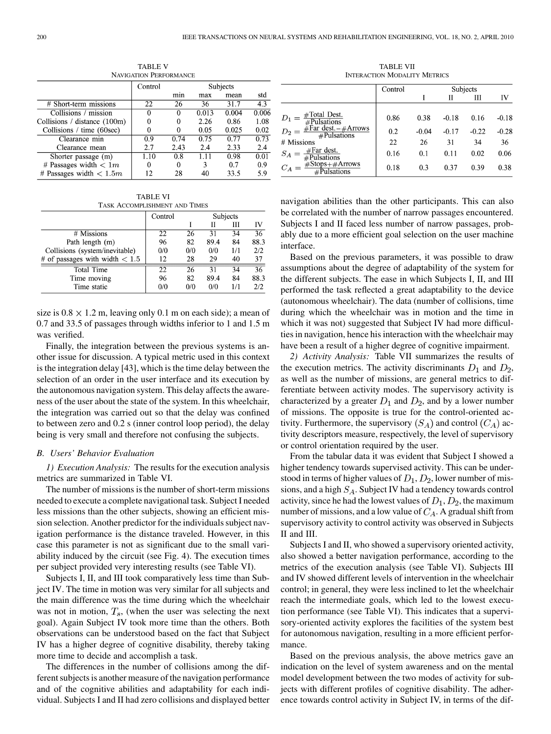| <b>NAVIGATION PERFORMANCE</b> |         |          |       |       |       |  |  |
|-------------------------------|---------|----------|-------|-------|-------|--|--|
|                               | Control | Subjects |       |       |       |  |  |
|                               |         | min      | max   | mean  | std   |  |  |
| # Short-term missions         | 22      | 26       | 36    | 31.7  | 4.3   |  |  |
| Collisions / mission          | 0       | 0        | 0.013 | 0.004 | 0.006 |  |  |
| Collisions / distance (100m)  |         |          | 2.26  | 0.86  | 1.08  |  |  |
| Collisions / time (60sec)     |         |          | 0.05  | 0.025 | 0.02  |  |  |
| Clearance min                 | 0.9     | 0.74     | 0.75  | 0.77  | 0.73  |  |  |
| Clearance mean                | 2.7     | 2.43     | 2.4   | 2.33  | 2.4   |  |  |
| Shorter passage (m)           | .10     | 0.8      |       | 0.98  | 0.01  |  |  |
| # Passages width $< 1m$       | 0       |          | ٩     | 0.7   | 0.9   |  |  |
| # Passages width $< 1.5m$     | 12      | 28       | 40    | 33.5  | 5.9   |  |  |

TABLE VI

| TASK ACCOMPLISHMENT AND TIMES    |                     |     |      |     |                 |
|----------------------------------|---------------------|-----|------|-----|-----------------|
|                                  | Subjects<br>Control |     |      |     |                 |
|                                  |                     |     | Н    | Ш   | IV              |
| # Missions                       | 22                  | 26  | 31   | 34  | $\overline{36}$ |
| Path length (m)                  | 96                  | 82  | 89.4 | 84  | 88.3            |
| Collisions (system/inevitable)   | 0/0                 | 0/0 | 0/0  | 1/1 | 2/2             |
| # of passages with width $< 1.5$ | 12                  | 28  | 29   | 40  | 37              |
| Total Time                       | 22                  | 26  | 31   | 34  | $\overline{36}$ |
| Time moving                      | 96                  | 82  | 89.4 | 84  | 88.3            |
| Time static                      | 0/0                 | 0/0 | 0/0  | 1/1 | 2/2             |

size is  $0.8 \times 1.2$  m, leaving only 0.1 m on each side); a mean of 0.7 and 33.5 of passages through widths inferior to 1 and 1.5 m was verified.

Finally, the integration between the previous systems is another issue for discussion. A typical metric used in this context is the integration delay [43], which is the time delay between the selection of an order in the user interface and its execution by the autonomous navigation system. This delay affects the awareness of the user about the state of the system. In this wheelchair, the integration was carried out so that the delay was confined to between zero and 0.2 s (inner control loop period), the delay being is very small and therefore not confusing the subjects.

#### *B. Users' Behavior Evaluation*

*1) Execution Analysis:* The results for the execution analysis metrics are summarized in Table VI.

The number of missions is the number of short-term missions needed to execute a complete navigational task. Subject I needed less missions than the other subjects, showing an efficient mission selection. Another predictor for the individuals subject navigation performance is the distance traveled. However, in this case this parameter is not as significant due to the small variability induced by the circuit (see Fig. 4). The execution times per subject provided very interesting results (see Table VI).

Subjects I, II, and III took comparatively less time than Subject IV. The time in motion was very similar for all subjects and the main difference was the time during which the wheelchair was not in motion,  $T_s$ , (when the user was selecting the next goal). Again Subject IV took more time than the others. Both observations can be understood based on the fact that Subject IV has a higher degree of cognitive disability, thereby taking more time to decide and accomplish a task.

The differences in the number of collisions among the different subjects is another measure of the navigation performance and of the cognitive abilities and adaptability for each individual. Subjects I and II had zero collisions and displayed better

TABLE VII INTERACTION MODALITY METRICS

|                                                                                                                                    | Control | Subjects |         |         |         |
|------------------------------------------------------------------------------------------------------------------------------------|---------|----------|---------|---------|---------|
|                                                                                                                                    |         |          |         | Ш       | IV      |
| $D_1 = \frac{\text{\#Total Dest.}}{\text{\#Pulsations}}$<br>$D_2 = \frac{\text{\#Far dest.} + \text{Arrows}}{\text{\#Pulsations}}$ | 0.86    | 0.38     | $-0.18$ | 0.16    | $-0.18$ |
|                                                                                                                                    | 0.2     | $-0.04$  | $-0.17$ | $-0.22$ | $-0.28$ |
| # Missions                                                                                                                         | 22      | 26       | 31      | 34      | 36      |
| $S_A = \frac{\text{\#Far dest.}}{\text{\#Pulactive}}$<br>#Pulsations                                                               | 0.16    | 0.1      | 0.11    | 0.02    | 0.06    |
| $C_A = \frac{\text{\#Stops} + \text{\#Arrows}}{\text{\#Dulsations}}$<br>Pulsations                                                 | 0.18    | 0.3      | 0.37    | 0.39    | 0.38    |

navigation abilities than the other participants. This can also be correlated with the number of narrow passages encountered. Subjects I and II faced less number of narrow passages, probably due to a more efficient goal selection on the user machine interface.

Based on the previous parameters, it was possible to draw assumptions about the degree of adaptability of the system for the different subjects. The ease in which Subjects I, II, and III performed the task reflected a great adaptability to the device (autonomous wheelchair). The data (number of collisions, time during which the wheelchair was in motion and the time in which it was not) suggested that Subject IV had more difficulties in navigation, hence his interaction with the wheelchair may have been a result of a higher degree of cognitive impairment.

*2) Activity Analysis:* Table VII summarizes the results of the execution metrics. The activity discriminants  $D_1$  and  $D_2$ , as well as the number of missions, are general metrics to differentiate between activity modes. The supervisory activity is characterized by a greater  $D_1$  and  $D_2$ , and by a lower number of missions. The opposite is true for the control-oriented activity. Furthermore, the supervisory  $(S_A)$  and control  $(C_A)$  activity descriptors measure, respectively, the level of supervisory or control orientation required by the user.

From the tabular data it was evident that Subject I showed a higher tendency towards supervised activity. This can be understood in terms of higher values of  $D_1, D_2$ , lower number of missions, and a high  $S_A$ . Subject IV had a tendency towards control activity, since he had the lowest values of  $D_1$ ,  $D_2$ , the maximum number of missions, and a low value of  $C_A$ . A gradual shift from supervisory activity to control activity was observed in Subjects II and III.

Subjects I and II, who showed a supervisory oriented activity, also showed a better navigation performance, according to the metrics of the execution analysis (see Table VI). Subjects III and IV showed different levels of intervention in the wheelchair control; in general, they were less inclined to let the wheelchair reach the intermediate goals, which led to the lowest execution performance (see Table VI). This indicates that a supervisory-oriented activity explores the facilities of the system best for autonomous navigation, resulting in a more efficient performance.

Based on the previous analysis, the above metrics gave an indication on the level of system awareness and on the mental model development between the two modes of activity for subjects with different profiles of cognitive disability. The adherence towards control activity in Subject IV, in terms of the dif-

TABLE V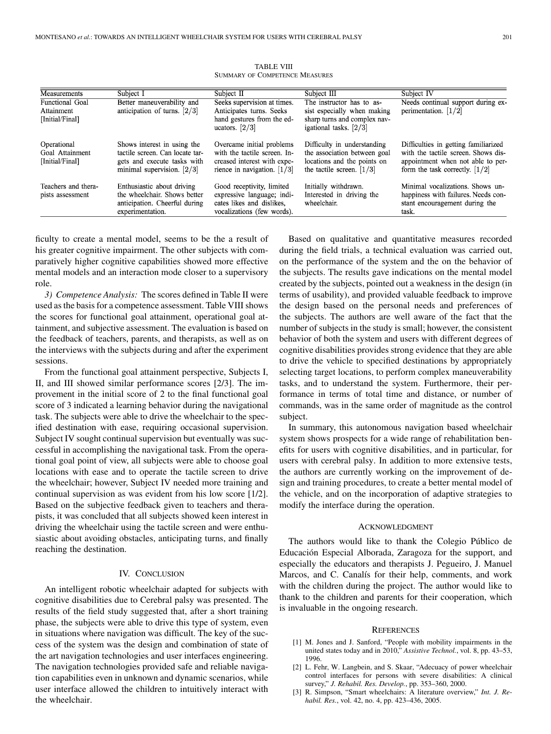| Measurements                                      | Subject I                                                                                                                                | Subject II                                                                                                                | Subject III                                                                                                                          | Subject IV                                                                                                                                                      |
|---------------------------------------------------|------------------------------------------------------------------------------------------------------------------------------------------|---------------------------------------------------------------------------------------------------------------------------|--------------------------------------------------------------------------------------------------------------------------------------|-----------------------------------------------------------------------------------------------------------------------------------------------------------------|
| Functional Goal                                   | Better maneuverability and                                                                                                               | Seeks supervision at times.                                                                                               | The instructor has to as-                                                                                                            | Needs continual support during ex-                                                                                                                              |
| Attainment                                        | anticipation of turns. $\left[2/3\right]$                                                                                                | Anticipates turns. Seeks                                                                                                  | sist especially when making                                                                                                          | perimentation. $\left[1/2\right]$                                                                                                                               |
| [Initial/Final]                                   |                                                                                                                                          | hand gestures from the ed-<br>ucators. $\left[2/3\right]$                                                                 | sharp turns and complex nav-<br>igational tasks. $\left[2/3\right]$                                                                  |                                                                                                                                                                 |
| Operational<br>Goal Attainment<br>[Initial/Final] | Shows interest in using the<br>tactile screen. Can locate tar-<br>gets and execute tasks with<br>minimal supervision. $\left[2/3\right]$ | Overcame initial problems<br>with the tactile screen. In-<br>creased interest with expe-<br>rience in navigation. $[1/3]$ | Difficulty in understanding<br>the association between goal<br>locations and the points on<br>the tactile screen. $\left[1/3\right]$ | Difficulties in getting familiarized<br>with the tactile screen. Shows dis-<br>appointment when not able to per-<br>form the task correctly. $\left[1/2\right]$ |
| Teachers and thera-<br>pists assessment           | Enthusiastic about driving<br>the wheelchair. Shows better<br>anticipation. Cheerful during<br>experimentation.                          | Good receptivity, limited<br>expressive language; indi-<br>cates likes and dislikes.<br>vocalizations (few words).        | Initially withdrawn.<br>Interested in driving the<br>wheelchair.                                                                     | Minimal vocalizations. Shows un-<br>happiness with failures. Needs con-<br>stant encouragement during the<br>task.                                              |

TABLE VIII SUMMARY OF COMPETENCE MEASURES

ficulty to create a mental model, seems to be the a result of his greater cognitive impairment. The other subjects with comparatively higher cognitive capabilities showed more effective mental models and an interaction mode closer to a supervisory role.

*3) Competence Analysis:* The scores defined in Table II were used as the basis for a competence assessment. Table VIII shows the scores for functional goal attainment, operational goal attainment, and subjective assessment. The evaluation is based on the feedback of teachers, parents, and therapists, as well as on the interviews with the subjects during and after the experiment sessions.

From the functional goal attainment perspective, Subjects I, II, and III showed similar performance scores [2/3]. The improvement in the initial score of 2 to the final functional goal score of 3 indicated a learning behavior during the navigational task. The subjects were able to drive the wheelchair to the specified destination with ease, requiring occasional supervision. Subject IV sought continual supervision but eventually was successful in accomplishing the navigational task. From the operational goal point of view, all subjects were able to choose goal locations with ease and to operate the tactile screen to drive the wheelchair; however, Subject IV needed more training and continual supervision as was evident from his low score [1/2]. Based on the subjective feedback given to teachers and therapists, it was concluded that all subjects showed keen interest in driving the wheelchair using the tactile screen and were enthusiastic about avoiding obstacles, anticipating turns, and finally reaching the destination.

#### IV. CONCLUSION

An intelligent robotic wheelchair adapted for subjects with cognitive disabilities due to Cerebral palsy was presented. The results of the field study suggested that, after a short training phase, the subjects were able to drive this type of system, even in situations where navigation was difficult. The key of the success of the system was the design and combination of state of the art navigation technologies and user interfaces engineering. The navigation technologies provided safe and reliable navigation capabilities even in unknown and dynamic scenarios, while user interface allowed the children to intuitively interact with the wheelchair.

Based on qualitative and quantitative measures recorded during the field trials, a technical evaluation was carried out, on the performance of the system and the on the behavior of the subjects. The results gave indications on the mental model created by the subjects, pointed out a weakness in the design (in terms of usability), and provided valuable feedback to improve the design based on the personal needs and preferences of the subjects. The authors are well aware of the fact that the number of subjects in the study is small; however, the consistent behavior of both the system and users with different degrees of cognitive disabilities provides strong evidence that they are able to drive the vehicle to specified destinations by appropriately selecting target locations, to perform complex maneuverability tasks, and to understand the system. Furthermore, their performance in terms of total time and distance, or number of commands, was in the same order of magnitude as the control subject.

In summary, this autonomous navigation based wheelchair system shows prospects for a wide range of rehabilitation benefits for users with cognitive disabilities, and in particular, for users with cerebral palsy. In addition to more extensive tests, the authors are currently working on the improvement of design and training procedures, to create a better mental model of the vehicle, and on the incorporation of adaptive strategies to modify the interface during the operation.

#### ACKNOWLEDGMENT

The authors would like to thank the Colegio Público de Educación Especial Alborada, Zaragoza for the support, and especially the educators and therapists J. Pegueiro, J. Manuel Marcos, and C. Canalís for their help, comments, and work with the children during the project. The author would like to thank to the children and parents for their cooperation, which is invaluable in the ongoing research.

# **REFERENCES**

- [1] M. Jones and J. Sanford, "People with mobility impairments in the united states today and in 2010," *Assistive Technol.*, vol. 8, pp. 43–53, 1996.
- [2] L. Fehr, W. Langbein, and S. Skaar, "Adecuacy of power wheelchair control interfaces for persons with severe disabilities: A clinical survey," *J. Rehabil. Res. Develop.*, pp. 353–360, 2000.
- [3] R. Simpson, "Smart wheelchairs: A literature overview," *Int. J. Rehabil. Res.*, vol. 42, no. 4, pp. 423–436, 2005.